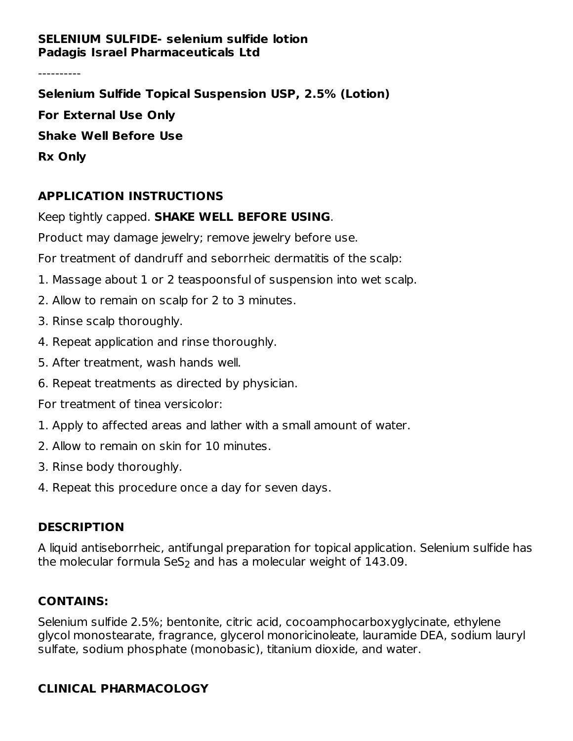### **SELENIUM SULFIDE- selenium sulfide lotion Padagis Israel Pharmaceuticals Ltd**

----------

**Selenium Sulfide Topical Suspension USP, 2.5% (Lotion) For External Use Only Shake Well Before Use Rx Only**

### **APPLICATION INSTRUCTIONS**

Keep tightly capped. **SHAKE WELL BEFORE USING**.

Product may damage jewelry; remove jewelry before use.

For treatment of dandruff and seborrheic dermatitis of the scalp:

- 1. Massage about 1 or 2 teaspoonsful of suspension into wet scalp.
- 2. Allow to remain on scalp for 2 to 3 minutes.
- 3. Rinse scalp thoroughly.
- 4. Repeat application and rinse thoroughly.
- 5. After treatment, wash hands well.
- 6. Repeat treatments as directed by physician.

For treatment of tinea versicolor:

- 1. Apply to affected areas and lather with a small amount of water.
- 2. Allow to remain on skin for 10 minutes.
- 3. Rinse body thoroughly.
- 4. Repeat this procedure once a day for seven days.

## **DESCRIPTION**

A liquid antiseborrheic, antifungal preparation for topical application. Selenium sulfide has the molecular formula SeS $_{\rm 2}$  and has a molecular weight of 143.09.

## **CONTAINS:**

Selenium sulfide 2.5%; bentonite, citric acid, cocoamphocarboxyglycinate, ethylene glycol monostearate, fragrance, glycerol monoricinoleate, lauramide DEA, sodium lauryl sulfate, sodium phosphate (monobasic), titanium dioxide, and water.

# **CLINICAL PHARMACOLOGY**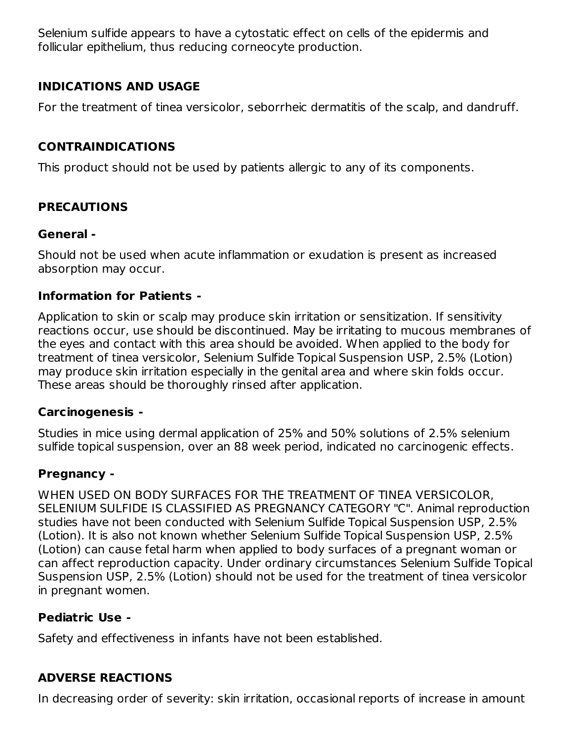Selenium sulfide appears to have a cytostatic effect on cells of the epidermis and follicular epithelium, thus reducing corneocyte production.

## **INDICATIONS AND USAGE**

For the treatment of tinea versicolor, seborrheic dermatitis of the scalp, and dandruff.

### **CONTRAINDICATIONS**

This product should not be used by patients allergic to any of its components.

### **PRECAUTIONS**

#### **General -**

Should not be used when acute inflammation or exudation is present as increased absorption may occur.

#### **Information for Patients -**

Application to skin or scalp may produce skin irritation or sensitization. If sensitivity reactions occur, use should be discontinued. May be irritating to mucous membranes of the eyes and contact with this area should be avoided. When applied to the body for treatment of tinea versicolor, Selenium Sulfide Topical Suspension USP, 2.5% (Lotion) may produce skin irritation especially in the genital area and where skin folds occur. These areas should be thoroughly rinsed after application.

#### **Carcinogenesis -**

Studies in mice using dermal application of 25% and 50% solutions of 2.5% selenium sulfide topical suspension, over an 88 week period, indicated no carcinogenic effects.

### **Pregnancy -**

WHEN USED ON BODY SURFACES FOR THE TREATMENT OF TINEA VERSICOLOR, SELENIUM SULFIDE IS CLASSIFIED AS PREGNANCY CATEGORY "C". Animal reproduction studies have not been conducted with Selenium Sulfide Topical Suspension USP, 2.5% (Lotion). It is also not known whether Selenium Sulfide Topical Suspension USP, 2.5% (Lotion) can cause fetal harm when applied to body surfaces of a pregnant woman or can affect reproduction capacity. Under ordinary circumstances Selenium Sulfide Topical Suspension USP, 2.5% (Lotion) should not be used for the treatment of tinea versicolor in pregnant women.

### **Pediatric Use -**

Safety and effectiveness in infants have not been established.

## **ADVERSE REACTIONS**

In decreasing order of severity: skin irritation, occasional reports of increase in amount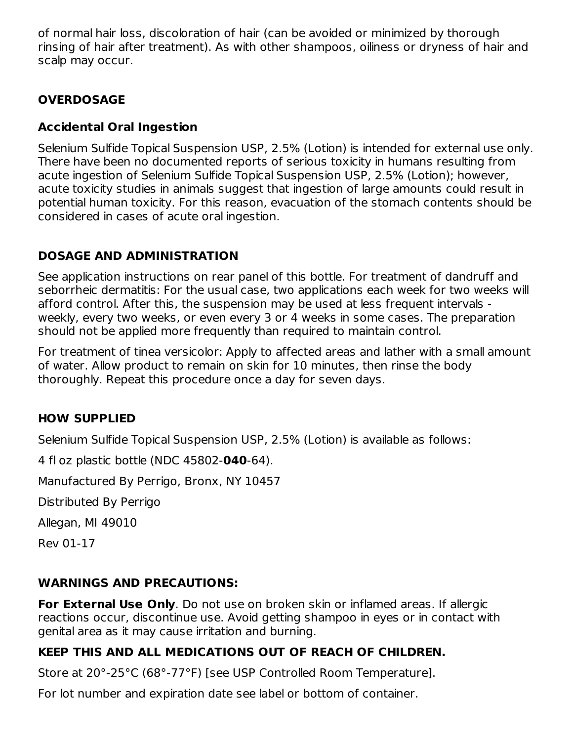of normal hair loss, discoloration of hair (can be avoided or minimized by thorough rinsing of hair after treatment). As with other shampoos, oiliness or dryness of hair and scalp may occur.

## **OVERDOSAGE**

# **Accidental Oral Ingestion**

Selenium Sulfide Topical Suspension USP, 2.5% (Lotion) is intended for external use only. There have been no documented reports of serious toxicity in humans resulting from acute ingestion of Selenium Sulfide Topical Suspension USP, 2.5% (Lotion); however, acute toxicity studies in animals suggest that ingestion of large amounts could result in potential human toxicity. For this reason, evacuation of the stomach contents should be considered in cases of acute oral ingestion.

## **DOSAGE AND ADMINISTRATION**

See application instructions on rear panel of this bottle. For treatment of dandruff and seborrheic dermatitis: For the usual case, two applications each week for two weeks will afford control. After this, the suspension may be used at less frequent intervals weekly, every two weeks, or even every 3 or 4 weeks in some cases. The preparation should not be applied more frequently than required to maintain control.

For treatment of tinea versicolor: Apply to affected areas and lather with a small amount of water. Allow product to remain on skin for 10 minutes, then rinse the body thoroughly. Repeat this procedure once a day for seven days.

## **HOW SUPPLIED**

Selenium Sulfide Topical Suspension USP, 2.5% (Lotion) is available as follows:

4 fl oz plastic bottle (NDC 45802-**040**-64).

Manufactured By Perrigo, Bronx, NY 10457

Distributed By Perrigo

Allegan, MI 49010

Rev 01-17

## **WARNINGS AND PRECAUTIONS:**

**For External Use Only**. Do not use on broken skin or inflamed areas. If allergic reactions occur, discontinue use. Avoid getting shampoo in eyes or in contact with genital area as it may cause irritation and burning.

# **KEEP THIS AND ALL MEDICATIONS OUT OF REACH OF CHILDREN.**

Store at 20°-25°C (68°-77°F) [see USP Controlled Room Temperature].

For lot number and expiration date see label or bottom of container.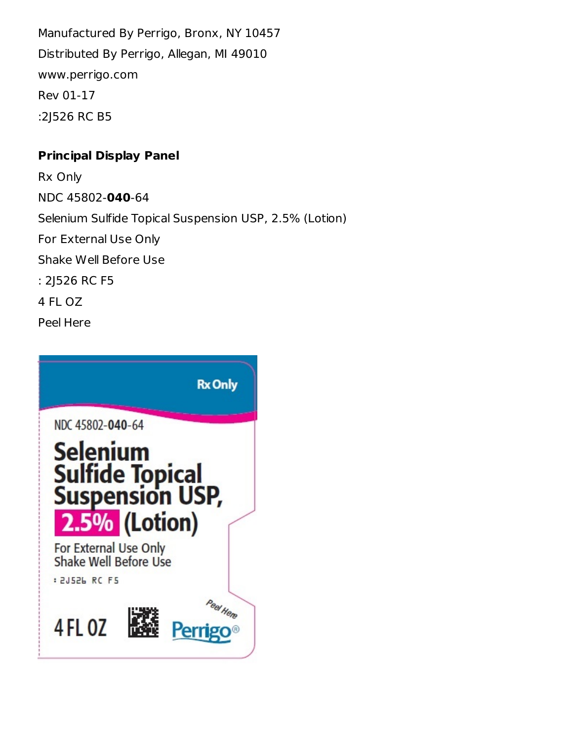Manufactured By Perrigo, Bronx, NY 10457 Distributed By Perrigo, Allegan, MI 49010 www.perrigo.com Rev 01-17 :2J526 RC B5

## **Principal Display Panel**

Rx Only NDC 45802-**040**-64 Selenium Sulfide Topical Suspension USP, 2.5% (Lotion) For External Use Only Shake Well Before Use : 2J526 RC F5 4 FL OZ Peel Here

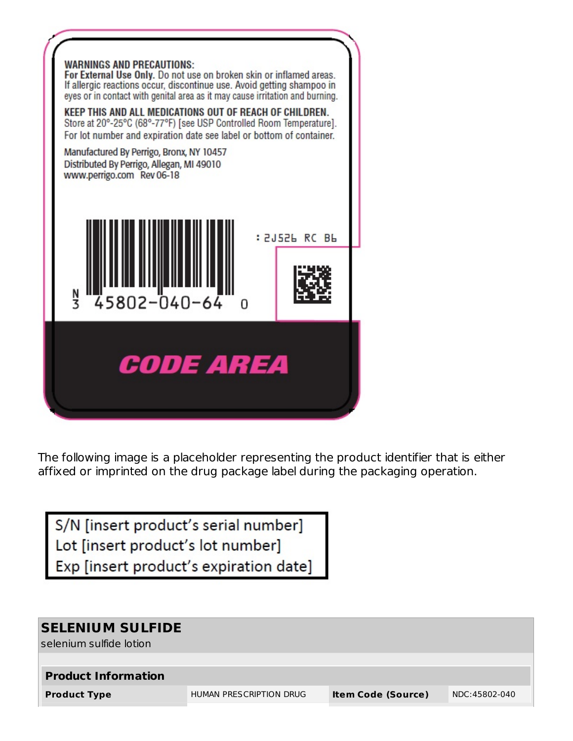

The following image is a placeholder representing the product identifier that is either affixed or imprinted on the drug package label during the packaging operation.

S/N [insert product's serial number] Lot [insert product's lot number] Exp [insert product's expiration date]

| <b>SELENIUM SULFIDE</b>    |                         |                           |               |
|----------------------------|-------------------------|---------------------------|---------------|
| selenium sulfide lotion    |                         |                           |               |
|                            |                         |                           |               |
| <b>Product Information</b> |                         |                           |               |
| <b>Product Type</b>        | HUMAN PRESCRIPTION DRUG | <b>Item Code (Source)</b> | NDC:45802-040 |
|                            |                         |                           |               |